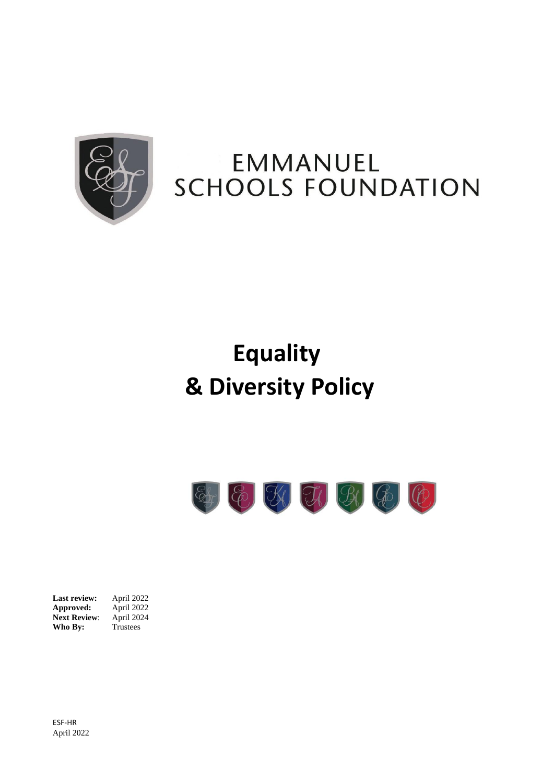

# EMMANUEL **SCHOOLS FOUNDATION**

# **Equality & Diversity Policy**



**Last review:** April 2022 **Approved:** April 2022 **Next Review:** April 2024 **Who By:** Trustees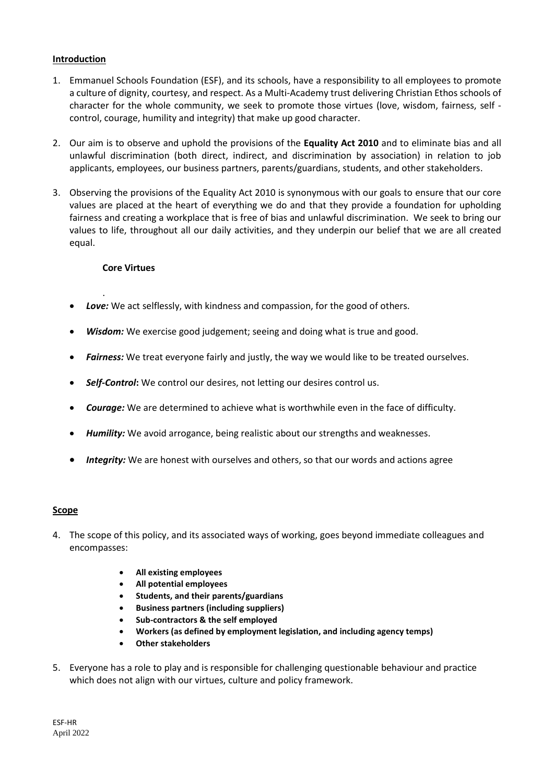# **Introduction**

- 1. Emmanuel Schools Foundation (ESF), and its schools, have a responsibility to all employees to promote a culture of dignity, courtesy, and respect. As a Multi-Academy trust delivering Christian Ethos schools of character for the whole community, we seek to promote those virtues (love, wisdom, fairness, self control, courage, humility and integrity) that make up good character.
- 2. Our aim is to observe and uphold the provisions of the **Equality Act 2010** and to eliminate bias and all unlawful discrimination (both direct, indirect, and discrimination by association) in relation to job applicants, employees, our business partners, parents/guardians, students, and other stakeholders.
- 3. Observing the provisions of the Equality Act 2010 is synonymous with our goals to ensure that our core values are placed at the heart of everything we do and that they provide a foundation for upholding fairness and creating a workplace that is free of bias and unlawful discrimination. We seek to bring our values to life, throughout all our daily activities, and they underpin our belief that we are all created equal.

#### **Core Virtues**

.

- *Love:* We act selflessly, with kindness and compassion, for the good of others.
- Wisdom: We exercise good judgement; seeing and doing what is true and good.
- *Fairness:* We treat everyone fairly and justly, the way we would like to be treated ourselves.
- *Self-Control***:** We control our desires, not letting our desires control us.
- *Courage:* We are determined to achieve what is worthwhile even in the face of difficulty.
- *Humility:* We avoid arrogance, being realistic about our strengths and weaknesses.
- *Integrity:* We are honest with ourselves and others, so that our words and actions agree

#### **Scope**

- 4. The scope of this policy, and its associated ways of working, goes beyond immediate colleagues and encompasses:
	- **All existing employees**
	- **All potential employees**
	- **Students, and their parents/guardians**
	- **Business partners (including suppliers)**
	- **Sub-contractors & the self employed**
	- **Workers (as defined by employment legislation, and including agency temps)**
	- **Other stakeholders**
- 5. Everyone has a role to play and is responsible for challenging questionable behaviour and practice which does not align with our virtues, culture and policy framework.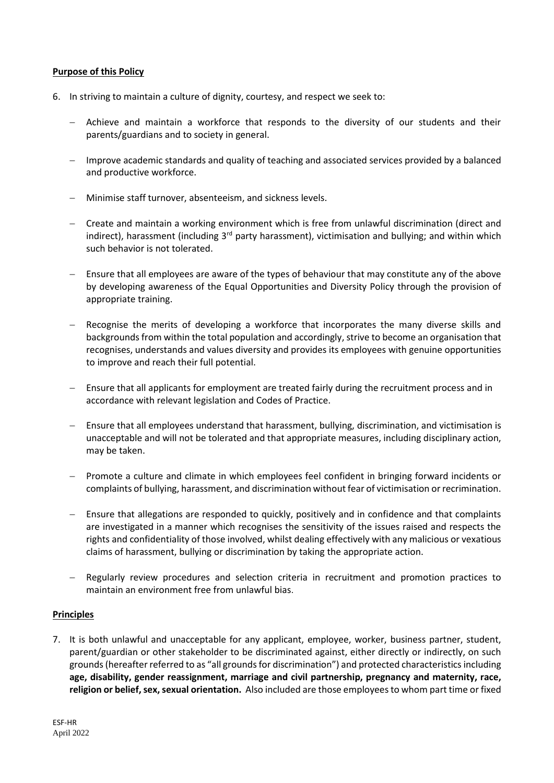#### **Purpose of this Policy**

- 6. In striving to maintain a culture of dignity, courtesy, and respect we seek to:
	- − Achieve and maintain a workforce that responds to the diversity of our students and their parents/guardians and to society in general.
	- − Improve academic standards and quality of teaching and associated services provided by a balanced and productive workforce.
	- − Minimise staff turnover, absenteeism, and sickness levels.
	- − Create and maintain a working environment which is free from unlawful discrimination (direct and indirect), harassment (including  $3<sup>rd</sup>$  party harassment), victimisation and bullying; and within which such behavior is not tolerated.
	- Ensure that all employees are aware of the types of behaviour that may constitute any of the above by developing awareness of the Equal Opportunities and Diversity Policy through the provision of appropriate training.
	- Recognise the merits of developing a workforce that incorporates the many diverse skills and backgrounds from within the total population and accordingly, strive to become an organisation that recognises, understands and values diversity and provides its employees with genuine opportunities to improve and reach their full potential.
	- − Ensure that all applicants for employment are treated fairly during the recruitment process and in accordance with relevant legislation and Codes of Practice.
	- − Ensure that all employees understand that harassment, bullying, discrimination, and victimisation is unacceptable and will not be tolerated and that appropriate measures, including disciplinary action, may be taken.
	- Promote a culture and climate in which employees feel confident in bringing forward incidents or complaints of bullying, harassment, and discrimination without fear of victimisation or recrimination.
	- − Ensure that allegations are responded to quickly, positively and in confidence and that complaints are investigated in a manner which recognises the sensitivity of the issues raised and respects the rights and confidentiality of those involved, whilst dealing effectively with any malicious or vexatious claims of harassment, bullying or discrimination by taking the appropriate action.
	- Regularly review procedures and selection criteria in recruitment and promotion practices to maintain an environment free from unlawful bias.

# **Principles**

7. It is both unlawful and unacceptable for any applicant, employee, worker, business partner, student, parent/guardian or other stakeholder to be discriminated against, either directly or indirectly, on such grounds(hereafter referred to as "all grounds for discrimination") and protected characteristics including **age, disability, gender reassignment, marriage and civil partnership, pregnancy and maternity, race, religion or belief, sex, sexual orientation.** Also included are those employees to whom part time or fixed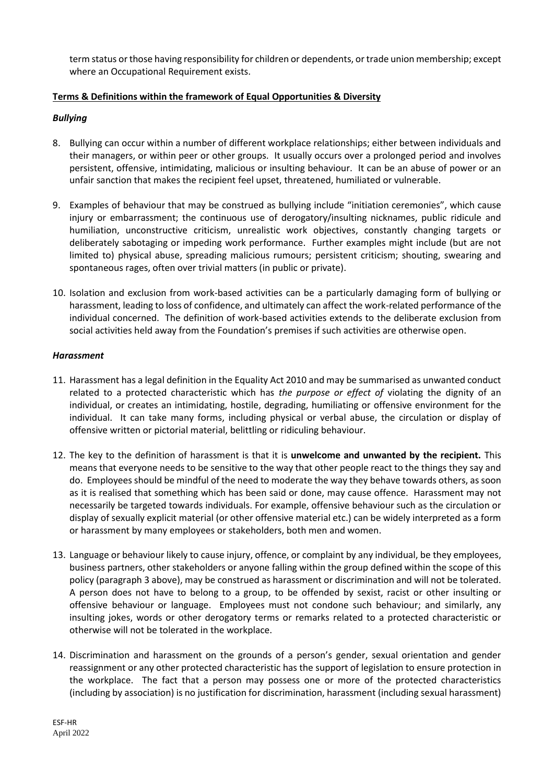term status or those having responsibility for children or dependents, or trade union membership; except where an Occupational Requirement exists.

# **Terms & Definitions within the framework of Equal Opportunities & Diversity**

# *Bullying*

- 8. Bullying can occur within a number of different workplace relationships; either between individuals and their managers, or within peer or other groups. It usually occurs over a prolonged period and involves persistent, offensive, intimidating, malicious or insulting behaviour. It can be an abuse of power or an unfair sanction that makes the recipient feel upset, threatened, humiliated or vulnerable.
- 9. Examples of behaviour that may be construed as bullying include "initiation ceremonies", which cause injury or embarrassment; the continuous use of derogatory/insulting nicknames, public ridicule and humiliation, unconstructive criticism, unrealistic work objectives, constantly changing targets or deliberately sabotaging or impeding work performance. Further examples might include (but are not limited to) physical abuse, spreading malicious rumours; persistent criticism; shouting, swearing and spontaneous rages, often over trivial matters (in public or private).
- 10. Isolation and exclusion from work-based activities can be a particularly damaging form of bullying or harassment, leading to loss of confidence, and ultimately can affect the work-related performance of the individual concerned. The definition of work-based activities extends to the deliberate exclusion from social activities held away from the Foundation's premises if such activities are otherwise open.

# *Harassment*

- 11. Harassment has a legal definition in the Equality Act 2010 and may be summarised as unwanted conduct related to a protected characteristic which has *the purpose or effect of* violating the dignity of an individual, or creates an intimidating, hostile, degrading, humiliating or offensive environment for the individual. It can take many forms, including physical or verbal abuse, the circulation or display of offensive written or pictorial material, belittling or ridiculing behaviour.
- 12. The key to the definition of harassment is that it is **unwelcome and unwanted by the recipient.** This means that everyone needs to be sensitive to the way that other people react to the things they say and do. Employees should be mindful of the need to moderate the way they behave towards others, as soon as it is realised that something which has been said or done, may cause offence. Harassment may not necessarily be targeted towards individuals. For example, offensive behaviour such as the circulation or display of sexually explicit material (or other offensive material etc.) can be widely interpreted as a form or harassment by many employees or stakeholders, both men and women.
- 13. Language or behaviour likely to cause injury, offence, or complaint by any individual, be they employees, business partners, other stakeholders or anyone falling within the group defined within the scope of this policy (paragraph 3 above), may be construed as harassment or discrimination and will not be tolerated. A person does not have to belong to a group, to be offended by sexist, racist or other insulting or offensive behaviour or language. Employees must not condone such behaviour; and similarly, any insulting jokes, words or other derogatory terms or remarks related to a protected characteristic or otherwise will not be tolerated in the workplace.
- 14. Discrimination and harassment on the grounds of a person's gender, sexual orientation and gender reassignment or any other protected characteristic has the support of legislation to ensure protection in the workplace. The fact that a person may possess one or more of the protected characteristics (including by association) is no justification for discrimination, harassment (including sexual harassment)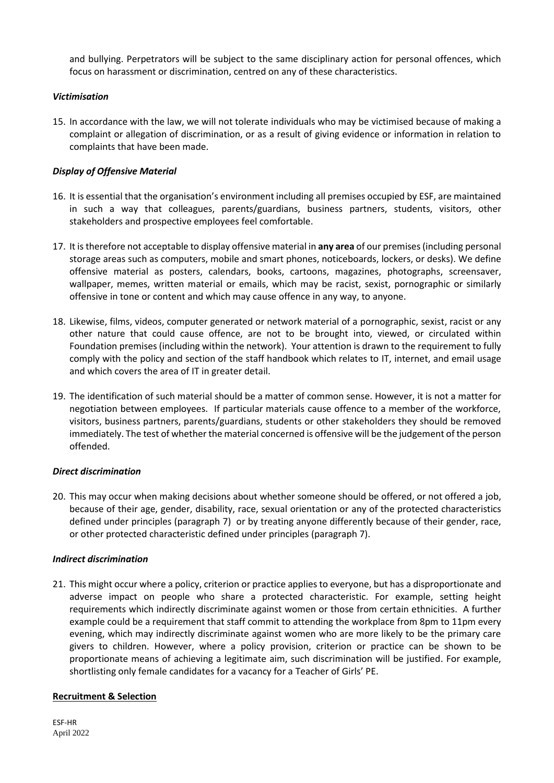and bullying. Perpetrators will be subject to the same disciplinary action for personal offences, which focus on harassment or discrimination, centred on any of these characteristics.

# *Victimisation*

15. In accordance with the law, we will not tolerate individuals who may be victimised because of making a complaint or allegation of discrimination, or as a result of giving evidence or information in relation to complaints that have been made.

# *Display of Offensive Material*

- 16. It is essential that the organisation's environment including all premises occupied by ESF, are maintained in such a way that colleagues, parents/guardians, business partners, students, visitors, other stakeholders and prospective employees feel comfortable.
- 17. It is therefore not acceptable to display offensive material in **any area** of our premises (including personal storage areas such as computers, mobile and smart phones, noticeboards, lockers, or desks). We define offensive material as posters, calendars, books, cartoons, magazines, photographs, screensaver, wallpaper, memes, written material or emails, which may be racist, sexist, pornographic or similarly offensive in tone or content and which may cause offence in any way, to anyone.
- 18. Likewise, films, videos, computer generated or network material of a pornographic, sexist, racist or any other nature that could cause offence, are not to be brought into, viewed, or circulated within Foundation premises (including within the network). Your attention is drawn to the requirement to fully comply with the policy and section of the staff handbook which relates to IT, internet, and email usage and which covers the area of IT in greater detail.
- 19. The identification of such material should be a matter of common sense. However, it is not a matter for negotiation between employees. If particular materials cause offence to a member of the workforce, visitors, business partners, parents/guardians, students or other stakeholders they should be removed immediately. The test of whether the material concerned is offensive will be the judgement of the person offended.

#### *Direct discrimination*

20. This may occur when making decisions about whether someone should be offered, or not offered a job, because of their age, gender, disability, race, sexual orientation or any of the protected characteristics defined under principles (paragraph 7) or by treating anyone differently because of their gender, race, or other protected characteristic defined under principles (paragraph 7).

#### *Indirect discrimination*

21. This might occur where a policy, criterion or practice applies to everyone, but has a disproportionate and adverse impact on people who share a protected characteristic. For example, setting height requirements which indirectly discriminate against women or those from certain ethnicities. A further example could be a requirement that staff commit to attending the workplace from 8pm to 11pm every evening, which may indirectly discriminate against women who are more likely to be the primary care givers to children. However, where a policy provision, criterion or practice can be shown to be proportionate means of achieving a legitimate aim, such discrimination will be justified. For example, shortlisting only female candidates for a vacancy for a Teacher of Girls' PE.

#### **Recruitment & Selection**

ESF-HR April 2022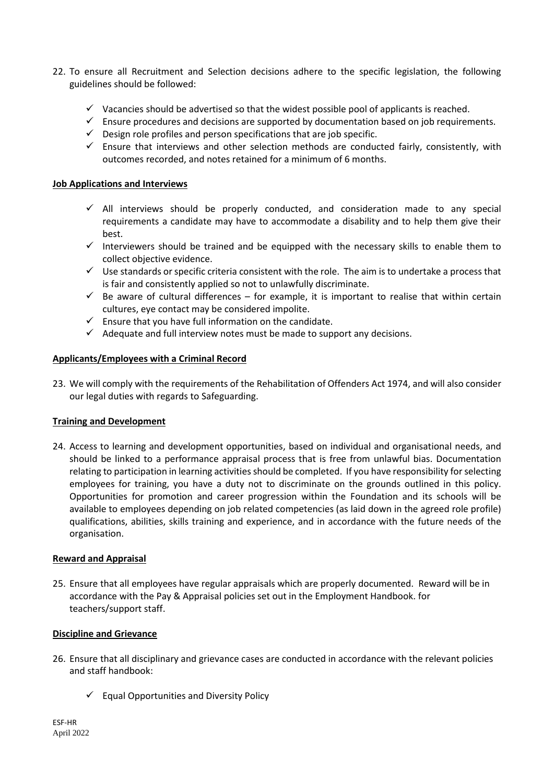- 22. To ensure all Recruitment and Selection decisions adhere to the specific legislation, the following guidelines should be followed:
	- $\checkmark$  Vacancies should be advertised so that the widest possible pool of applicants is reached.
	- $\checkmark$  Ensure procedures and decisions are supported by documentation based on job requirements.
	- $\checkmark$  Design role profiles and person specifications that are job specific.
	- $\checkmark$  Ensure that interviews and other selection methods are conducted fairly, consistently, with outcomes recorded, and notes retained for a minimum of 6 months.

### **Job Applications and Interviews**

- $\checkmark$  All interviews should be properly conducted, and consideration made to any special requirements a candidate may have to accommodate a disability and to help them give their best.
- $\checkmark$  Interviewers should be trained and be equipped with the necessary skills to enable them to collect objective evidence.
- $\checkmark$  Use standards or specific criteria consistent with the role. The aim is to undertake a process that is fair and consistently applied so not to unlawfully discriminate.
- $\checkmark$  Be aware of cultural differences for example, it is important to realise that within certain cultures, eye contact may be considered impolite.
- $\checkmark$  Ensure that you have full information on the candidate.
- $\checkmark$  Adequate and full interview notes must be made to support any decisions.

# **Applicants/Employees with a Criminal Record**

23. We will comply with the requirements of the Rehabilitation of Offenders Act 1974, and will also consider our legal duties with regards to Safeguarding.

#### **Training and Development**

24. Access to learning and development opportunities, based on individual and organisational needs, and should be linked to a performance appraisal process that is free from unlawful bias. Documentation relating to participation in learning activities should be completed. If you have responsibility for selecting employees for training, you have a duty not to discriminate on the grounds outlined in this policy. Opportunities for promotion and career progression within the Foundation and its schools will be available to employees depending on job related competencies (as laid down in the agreed role profile) qualifications, abilities, skills training and experience, and in accordance with the future needs of the organisation.

#### **Reward and Appraisal**

25. Ensure that all employees have regular appraisals which are properly documented. Reward will be in accordance with the Pay & Appraisal policies set out in the Employment Handbook. for teachers/support staff.

#### **Discipline and Grievance**

- 26. Ensure that all disciplinary and grievance cases are conducted in accordance with the relevant policies and staff handbook:
	- $\checkmark$  Equal Opportunities and Diversity Policy